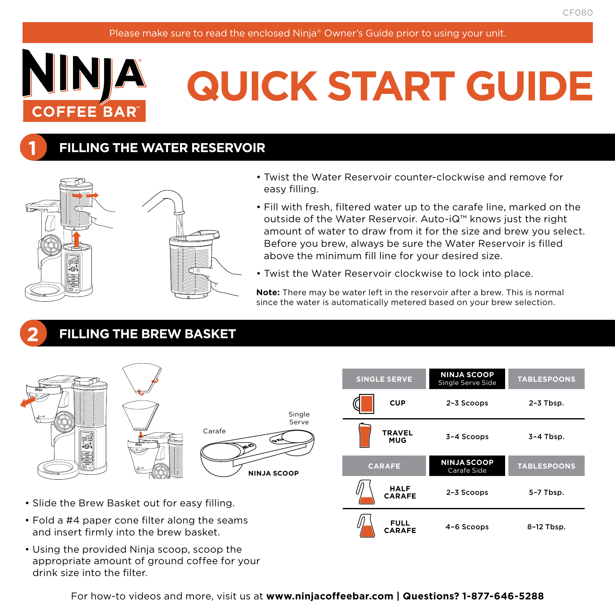

**1**

**2**

# **QUICK START GUIDE**

## **FILLING THE WATER RESERVOIR**



- Twist the Water Reservoir counter-clockwise and remove for easy filling.
- Fill with fresh, filtered water up to the carafe line, marked on the outside of the Water Reservoir. Auto-iQ™ knows just the right amount of water to draw from it for the size and brew you select. Before you brew, always be sure the Water Reservoir is filled above the minimum fill line for your desired size.
- Twist the Water Reservoir clockwise to lock into place.

**CARAFE**

4–6 Scoops 8–12 Tbsp.

**Note:** There may be water left in the reservoir after a brew. This is normal since the water is automatically metered based on your brew selection.

# **FILLING THE BREW BASKET**



- and insert firmly into the brew basket.
- Using the provided Ninja scoop, scoop the appropriate amount of ground coffee for your drink size into the filter.

For how-to videos and more, visit us at **www.ninjacoffeebar.com | Questions? 1-877-646-5288**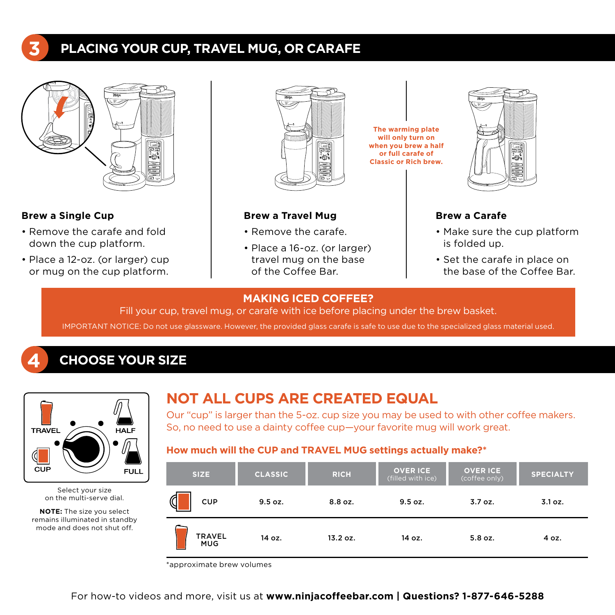# **PLACING YOUR CUP, TRAVEL MUG, OR CARAFE**



#### **Brew a Single Cup**

**4**

**3**

- Remove the carafe and fold down the cup platform.
- Place a 12-oz. (or larger) cup or mug on the cup platform.



#### **Brew a Travel Mug**

- Remove the carafe.
- Place a 16-oz. (or larger) travel mug on the base of the Coffee Bar.



#### **Brew a Carafe**

• Make sure the cup platform is folded up.

DELAY BREW CLASSIC BREW RICH BREW OVER ICE BREW <sup>D</sup>BREW COFFEE) TRAVEL HALF -ww CLEAN DRIP STOP

• Set the carafe in place on the base of the Coffee Bar.

#### **MAKING ICED COFFEE?**

Fill your cup, travel mug, or carafe with ice before placing under the brew basket.

IMPORTANT NOTICE: Do not use glassware. However, the provided glass carafe is safe to use due to the specialized glass material used.

### **CHOOSE YOUR SIZE**



Select your size on the multi-serve dial.

**NOTE:** The size you select remains illuminated in standby mode and does not shut off.

### **NOT ALL CUPS ARE CREATED EQUAL**

Our "cup" is larger than the 5-oz. cup size you may be used to with other coffee makers. So, no need to use a dainty coffee cup—your favorite mug will work great.

#### How much will the CUP and TRAVEL MUG settings actually make?\*

| SIZE.                       | <b>CLASSIC</b> | <b>RICH</b> | <b>OVER ICE</b><br>(filled with ice) | <b>OVER ICE</b><br>(coffee only) | <b>SPECIALTY</b> |
|-----------------------------|----------------|-------------|--------------------------------------|----------------------------------|------------------|
| у<br><b>CUP</b>             | 9.5 oz.        | 8.8 oz.     | 9.5 oz.                              | 3.7 oz.                          | 3.1 oz.          |
| <b>TRAVEL</b><br><b>MUG</b> | 14 oz.         | 13.2 oz.    | 14 oz.                               | 5.8 oz.                          | 4 oz.            |

\*approximate brew volumes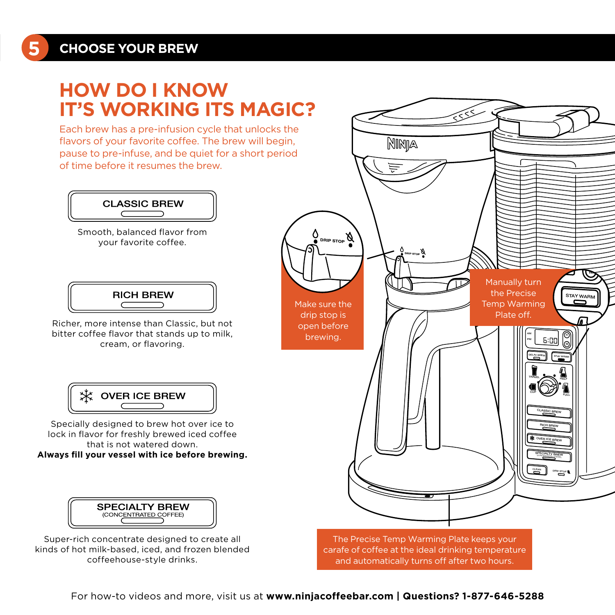**5**

# **HOW DO I KNOW IT'S WORKING ITS MAGIC?**

Each brew has a pre-infusion cycle that unlocks the flavors of your favorite coffee. The brew will begin, pause to pre-infuse, and be quiet for a short period of time before it resumes the brew.



Smooth, balanced flavor from your favorite coffee.



Richer, more intense than Classic, but not bitter coffee flavor that stands up to milk, cream, or flavoring.



Specially designed to brew hot over ice to lock in flavor for freshly brewed iced coffee that is not watered down. **Always fill your vessel with ice before brewing.**

**SPECIALTY BREW** (CONCENTRATED COFFEE)

Super-rich concentrate designed to create all kinds of hot milk-based, iced, and frozen blended coffeehouse-style drinks.



carafe of coffee at the ideal drinking temperature and automatically turns off after two hours.